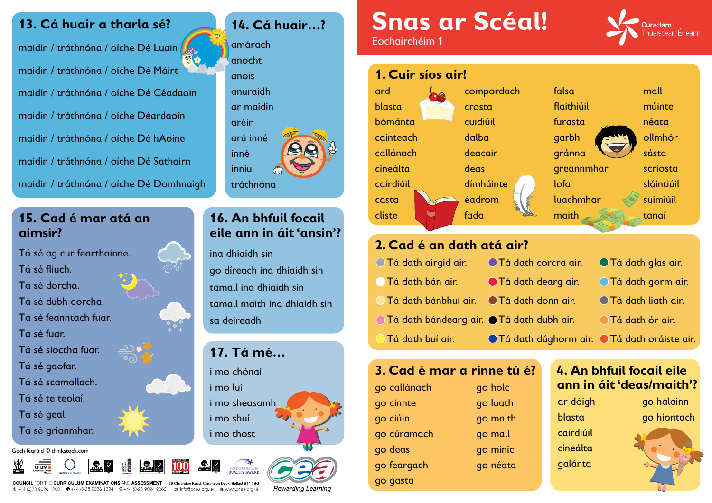### Tá dath bánbhuí air. Tá dath donn air. Tá dath bándearg air. Tá dath dubh air. Tá dath buí air.  $\bigcirc$  Tá dath

falsa flaithiúil furasta garbh gránna greannmhar lofa luachmhar maith



mall múinte néata ollmhór sásta scriosta sláintiúil suimiúil tanaí

| corcra air. | ● Tá dath glas air.                |
|-------------|------------------------------------|
| dearg air.  | ○ Tá dath gorm air.                |
| donn air.   | <b>○ Tá dath liath air.</b>        |
| dubh air.   | ◯ Tá dath ór air.                  |
|             | dúghorm air. ●Tá dath oráiste air. |

#### **3. Cad é mar a rinne tú é?**



| go callánach | go holc  |
|--------------|----------|
| go cinnte    | go luath |
| go ciúin     | go maith |
| go cúramach  | go mall  |
| go deas      | go minic |
| go feargach  | go néata |
| go gasta     |          |

**COUNCIL** FOR THE CURRICULUM EXAMINATIONS AND ASSESSMENT 29 Clarendon Road, Clarendon Dock, Belfast BT1 3BG © +44 (0)28 9026 1200 <del>· ■</del> +44 (0)28 9026 1234 · ■ +44 (0)28 9024 2063 · a info@ccea.org.uk · ● www.ccea.org.uk

Rewarding Learning

#### **13. Cá huair a tharla sé?**

maidin / tráthnóna / oíche Dé Luain maidin / tráthnóna / oíche Dé Máirt maidin / tráthnóna / oíche Dé Céadaoin maidin / tráthnóna / oíche Déardaoin maidin / tráthnóna / oíche Dé hAoine maidin / tráthnóna / oíche Dé Sathairn maidin / tráthnóna / oíche Dé Domhnaigh **14. Cá huair…?**

amárach

anocht

anois

anuraidh

ar maidin

aréir

arú inné

inné

inniu

tráthnóna

**16. An bhfuil focail** 

**eile ann in áit 'ansin'?**

ina dhiaidh sin

go díreach ina dhiaidh sin

tamall ina dhiaidh sin

tamall maith ina dhiaidh sin

sa deireadh

i mo chónaí

i mo luí

i mo sheasamh

i mo shuí

i mo thost





**17. Tá mé…**

#### **15. Cad é mar atá an aimsir?**

Tá sé ag cur fearthainne. Tá sé fliuch. Tá sé dorcha. Tá sé dubh dorcha. Tá sé feanntach fuar. Tá sé fuar. Tá sé sioctha fuar. Tá sé gaofar. Tá sé scamallach. Tá sé te teolaí. Tá sé geal. Tá sé grianmhar.

Gach léaráid © thinkstock.com











# **Snas ar Scéal!** Eochairchéim 1